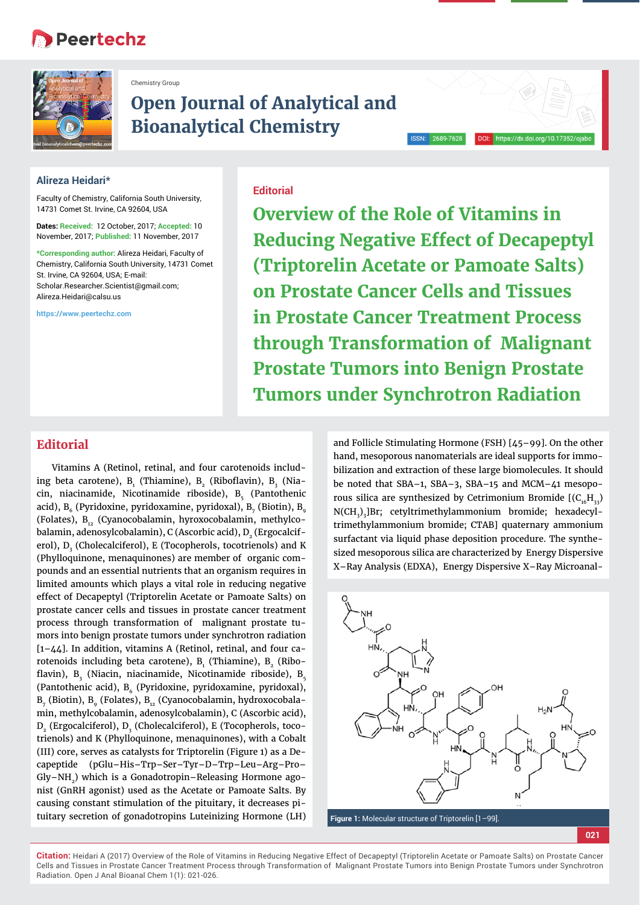# **Peertechz**



Chemistry Group

# **Open Journal of Analytical and Bioanalytical Chemistry**

#### **Alireza Heidari\***

Faculty of Chemistry, California South University, 14731 Comet St. Irvine, CA 92604, USA

**Dates: Received:** 12 October, 2017; **Accepted:** 10 November, 2017; **Published:** 11 November, 2017

**\*Corresponding author:** Alireza Heidari, Faculty of Chemistry, California South University, 14731 Comet St. Irvine, CA 92604, USA; E-mail: Scholar.Researcher.Scientist@gmail.com; Alireza.Heidari@calsu.us

**https://www.peertechz.com**

### **Editorial**

**Overview of the Role of Vitamins in Reducing Negative Effect of Decapeptyl (Triptorelin Acetate or Pamoate Salts) on Prostate Cancer Cells and Tissues in Prostate Cancer Treatment Process through Transformation of Malignant Prostate Tumors into Benign Prostate Tumors under Synchrotron Radiation**

## **Editorial**

Vitamins A (Retinol, retinal, and four carotenoids including beta carotene),  $\mathtt{B}_\text{\tiny{1}}$  (Thiamine),  $\mathtt{B}_\text{\tiny{2}}$  (Riboflavin),  $\mathtt{B}_\text{\tiny{3}}$  (Niacin, niacinamide, Nicotinamide riboside),  $B_5$  (Pantothenic acid),  $\mathtt{B}_{6}$  (Pyridoxine, pyridoxamine, pyridoxal),  $\mathtt{B}_{7}$  (Biotin),  $\mathtt{B}_{9}$ (Folates),  $B_{12}$  (Cyanocobalamin, hyroxocobalamin, methylcobalamin, adenosylcobalamin), C (Ascorbic acid),  $D_2$  (Ergocalciferol),  $D_3^{\text{}}$  (Cholecalciferol), E (Tocopherols, tocotrienols) and K (Phylloquinone, menaquinones) are member of organic compounds and an essential nutrients that an organism requires in limited amounts which plays a vital role in reducing negative effect of Decapeptyl (Triptorelin Acetate or Pamoate Salts) on prostate cancer cells and tissues in prostate cancer treatment process through transformation of malignant prostate tumors into benign prostate tumors under synchrotron radiation [1–44]. In addition, vitamins A (Retinol, retinal, and four carotenoids including beta carotene),  ${\tt B}_{{}_{1}}$  (Thiamine),  ${\tt B}_{{}_{2}}$  (Riboflavin),  $\mathbf{B}_{\mathbf{3}}^{\phantom{\dag}}$  (Niacin, niacinamide, Nicotinamide riboside),  $\mathbf{B}_{\mathbf{5}}^{\phantom{\dag}}$ (Pantothenic acid),  $B_6$  (Pyridoxine, pyridoxamine, pyridoxal), B<sub>7</sub> (Biotin), B<sub>9</sub> (Folates), B<sub>12</sub> (Cyanocobalamin, hydroxocobalamin, methylcobalamin, adenosylcobalamin), C (Ascorbic acid),  ${\tt D_2}$  (Ergocalciferol),  ${\tt D_3}$  (Cholecalciferol), E (Tocopherols, tocotrienols) and K (Phylloquinone, menaquinones), with a Cobalt (III) core, serves as catalysts for Triptorelin (Figure 1) as a Decapeptide (pGlu–His–Trp–Ser–Tyr–D–Trp–Leu–Arg–Pro– Gly–NH2) which is a Gonadotropin–Releasing Hormone agonist (GnRH agonist) used as the Acetate or Pamoate Salts. By causing constant stimulation of the pituitary, it decreases pituitary secretion of gonadotropins Luteinizing Hormone (LH)

and Follicle Stimulating Hormone (FSH) [45–99]. On the other hand, mesoporous nanomaterials are ideal supports for immobilization and extraction of these large biomolecules. It should be noted that SBA–1, SBA–3, SBA–15 and MCM–41 mesoporous silica are synthesized by Cetrimonium Bromide  $(C_{16}H_{33})$ N(CH<sub>3</sub>)<sub>3</sub>]Br; cetyltrimethylammonium bromide; hexadecyltrimethylammonium bromide; CTAB] quaternary ammonium surfactant via liquid phase deposition procedure. The synthesized mesoporous silica are characterized by Energy Dispersive X–Ray Analysis (EDXA), Energy Dispersive X–Ray Microanal-



**Figure 1:** Molecular structure of Triptorelin [1–99].

**<sup>021</sup>**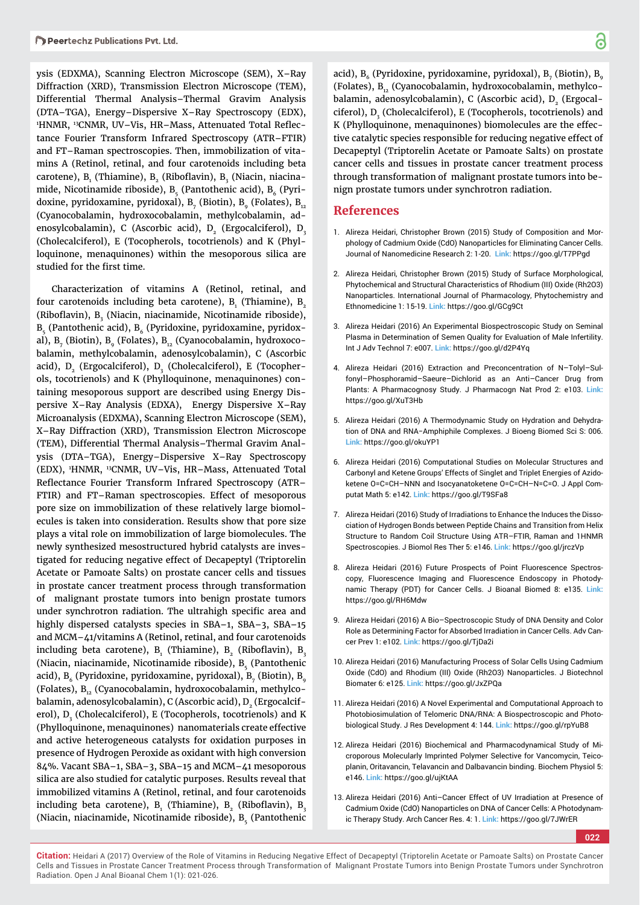ysis (EDXMA), Scanning Electron Microscope (SEM), X–Ray Diffraction (XRD), Transmission Electron Microscope (TEM), Differential Thermal Analysis–Thermal Gravim Analysis (DTA–TGA), Energy–Dispersive X–Ray Spectroscopy (EDX), 1HNMR, 13CNMR, UV–Vis, HR–Mass, Attenuated Total Reflectance Fourier Transform Infrared Spectroscopy (ATR–FTIR) and FT–Raman spectroscopies. Then, immobilization of vitamins A (Retinol, retinal, and four carotenoids including beta carotene),  $\mathtt{B}_\mathtt{1}$  (Thiamine),  $\mathtt{B}_\mathtt{2}$  (Riboflavin),  $\mathtt{B}_\mathtt{3}$  (Niacin, niacina– mide, Nicotinamide riboside), B<sub>c</sub> (Pantothenic acid), B<sub>c</sub> (Pyridoxine, pyridoxamine, pyridoxal), B<sub>7</sub> (Biotin), B<sub>9</sub> (Folates), B<sub>12</sub> (Cyanocobalamin, hydroxocobalamin, methylcobalamin, adenosylcobalamin), C (Ascorbic acid), D<sub>2</sub> (Ergocalciferol), D<sub>3</sub> (Cholecalciferol), E (Tocopherols, tocotrienols) and K (Phylloquinone, menaquinones) within the mesoporous silica are studied for the first time.

Characterization of vitamins A (Retinol, retinal, and four carotenoids including beta carotene),  ${\mathtt B}_\text{\tiny 1}$  (Thiamine),  ${\mathtt B}_\text{\tiny 2}$ (Riboflavin), B<sub>3</sub> (Niacin, niacinamide, Nicotinamide riboside),  $B_5$  (Pantothenic acid),  $B_6$  (Pyridoxine, pyridoxamine, pyridoxal), B $_{_{7}}$  (Biotin), B $_{_{9}}$  (Folates), B $_{_{12}}$  (Cyanocobalamin, hydroxocobalamin, methylcobalamin, adenosylcobalamin), C (Ascorbic acid),  $\texttt{D}_{\texttt{2}}$  (Ergocalciferol),  $\texttt{D}_{\texttt{3}}$  (Cholecalciferol), E (Tocopherols, tocotrienols) and K (Phylloquinone, menaquinones) containing mesoporous support are described using Energy Dispersive X–Ray Analysis (EDXA), Energy Dispersive X–Ray Microanalysis (EDXMA), Scanning Electron Microscope (SEM), X–Ray Diffraction (XRD), Transmission Electron Microscope (TEM), Differential Thermal Analysis–Thermal Gravim Analysis (DTA–TGA), Energy–Dispersive X–Ray Spectroscopy (EDX), 1 HNMR, 13CNMR, UV–Vis, HR–Mass, Attenuated Total Reflectance Fourier Transform Infrared Spectroscopy (ATR– FTIR) and FT–Raman spectroscopies. Effect of mesoporous pore size on immobilization of these relatively large biomolecules is taken into consideration. Results show that pore size plays a vital role on immobilization of large biomolecules. The newly synthesized mesostructured hybrid catalysts are investigated for reducing negative effect of Decapeptyl (Triptorelin Acetate or Pamoate Salts) on prostate cancer cells and tissues in prostate cancer treatment process through transformation of malignant prostate tumors into benign prostate tumors under synchrotron radiation. The ultrahigh specific area and highly dispersed catalysts species in SBA–1, SBA–3, SBA–15 and MCM–41/vitamins A (Retinol, retinal, and four carotenoids including beta carotene),  $\mathtt{B}_\text{\tiny{1}}$  (Thiamine),  $\mathtt{B}_\text{\tiny{2}}$  (Riboflavin),  $\mathtt{B}_\text{\tiny{3}}$ (Niacin, niacinamide, Nicotinamide riboside), B<sub>e</sub> (Pantothenic acid), B $_{\rm 6}$  (Pyridoxine, pyridoxamine, pyridoxal), B $_{\rm 7}$  (Biotin), B $_{\rm 9}$ (Folates), B<sub>12</sub> (Cyanocobalamin, hydroxocobalamin, methylcobalamin, adenosylcobalamin), C (Ascorbic acid), D<sub>2</sub> (Ergocalciferol), D<sub>3</sub> (Cholecalciferol), E (Tocopherols, tocotrienols) and K (Phylloquinone, menaquinones) nanomaterials create effective and active heterogeneous catalysts for oxidation purposes in presence of Hydrogen Peroxide as oxidant with high conversion 84%. Vacant SBA–1, SBA–3, SBA–15 and MCM–41 mesoporous silica are also studied for catalytic purposes. Results reveal that immobilized vitamins A (Retinol, retinal, and four carotenoids including beta carotene),  ${\mathtt B}_{\rm i}$  (Thiamine),  ${\mathtt B}_{\rm i}$  (Riboflavin),  ${\mathtt B}_{\rm i}$ (Niacin, niacinamide, Nicotinamide riboside), B<sub>e</sub> (Pantothenic

acid),  $B_6$  (Pyridoxine, pyridoxamine, pyridoxal),  $B_7$  (Biotin),  $B_8$ (Folates),  $B_{12}$  (Cyanocobalamin, hydroxocobalamin, methylcobalamin, adenosylcobalamin), C (Ascorbic acid), D<sub>2</sub> (Ergocalciferol),  $D_3^2$  (Cholecalciferol), E (Tocopherols, tocotrienols) and K (Phylloquinone, menaquinones) biomolecules are the effective catalytic species responsible for reducing negative effect of Decapeptyl (Triptorelin Acetate or Pamoate Salts) on prostate cancer cells and tissues in prostate cancer treatment process through transformation of malignant prostate tumors into benign prostate tumors under synchrotron radiation.

#### **References**

- 1. Alireza Heidari, Christopher Brown (2015) Study of Composition and Morphology of Cadmium Oxide (CdO) Nanoparticles for Eliminating Cancer Cells. Journal of Nanomedicine Research 2: 1-20. **Link:** https://goo.gl/T7PPgd
- 2. Alireza Heidari, Christopher Brown (2015) Study of Surface Morphological, Phytochemical and Structural Characteristics of Rhodium (III) Oxide (Rh2O3) Nanoparticles. International Journal of Pharmacology, Phytochemistry and Ethnomedicine 1: 15-19. **Link:** https://goo.gl/GCg9Ct
- 3. Alireza Heidari (2016) An Experimental Biospectroscopic Study on Seminal Plasma in Determination of Semen Quality for Evaluation of Male Infertility. Int J Adv Technol 7: e007. **Link:** https://goo.gl/d2P4Yq
- 4. Alireza Heidari (2016) Extraction and Preconcentration of N–Tolyl–Sulfonyl–Phosphoramid–Saeure–Dichlorid as an Anti–Cancer Drug from Plants: A Pharmacognosy Study. J Pharmacogn Nat Prod 2: e103. **Link:** https://goo.gl/XuT3Hb
- 5. Alireza Heidari (2016) A Thermodynamic Study on Hydration and Dehydration of DNA and RNA−Amphiphile Complexes. J Bioeng Biomed Sci S: 006. **Link:** https://goo.gl/okuYP1
- 6. Alireza Heidari (2016) Computational Studies on Molecular Structures and Carbonyl and Ketene Groups' Effects of Singlet and Triplet Energies of Azidoketene O=C=CH–NNN and Isocyanatoketene O=C=CH–N=C=O. J Appl Computat Math 5: e142. **Link:** https://goo.gl/T9SFa8
- 7. Alireza Heidari (2016) Study of Irradiations to Enhance the Induces the Dissociation of Hydrogen Bonds between Peptide Chains and Transition from Helix Structure to Random Coil Structure Using ATR–FTIR, Raman and 1HNMR Spectroscopies. J Biomol Res Ther 5: e146. **Link:** https://goo.gl/jrczVp
- 8. Alireza Heidari (2016) Future Prospects of Point Fluorescence Spectroscopy, Fluorescence Imaging and Fluorescence Endoscopy in Photodynamic Therapy (PDT) for Cancer Cells. J Bioanal Biomed 8: e135. **Link:** https://goo.gl/RH6Mdw
- 9. Alireza Heidari (2016) A Bio–Spectroscopic Study of DNA Density and Color Role as Determining Factor for Absorbed Irradiation in Cancer Cells. Adv Cancer Prev 1: e102. **Link:** https://goo.gl/TjDa2i
- 10. Alireza Heidari (2016) Manufacturing Process of Solar Cells Using Cadmium Oxide (CdO) and Rhodium (III) Oxide (Rh2O3) Nanoparticles. J Biotechnol Biomater 6: e125. **Link:** https://goo.gl/JxZPQa
- 11. Alireza Heidari (2016) A Novel Experimental and Computational Approach to Photobiosimulation of Telomeric DNA/RNA: A Biospectroscopic and Photobiological Study. J Res Development 4: 144. **Link:** https://goo.gl/rpYuB8
- 12. Alireza Heidari (2016) Biochemical and Pharmacodynamical Study of Microporous Molecularly Imprinted Polymer Selective for Vancomycin, Teicoplanin, Oritavancin, Telavancin and Dalbavancin binding. Biochem Physiol 5: e146. **Link:** https://goo.gl/ujKtAA
- 13. Alireza Heidari (2016) Anti–Cancer Effect of UV Irradiation at Presence of Cadmium Oxide (CdO) Nanoparticles on DNA of Cancer Cells: A Photodynamic Therapy Study. Arch Cancer Res. 4: 1. **Link:** https://goo.gl/7JWrER

**022**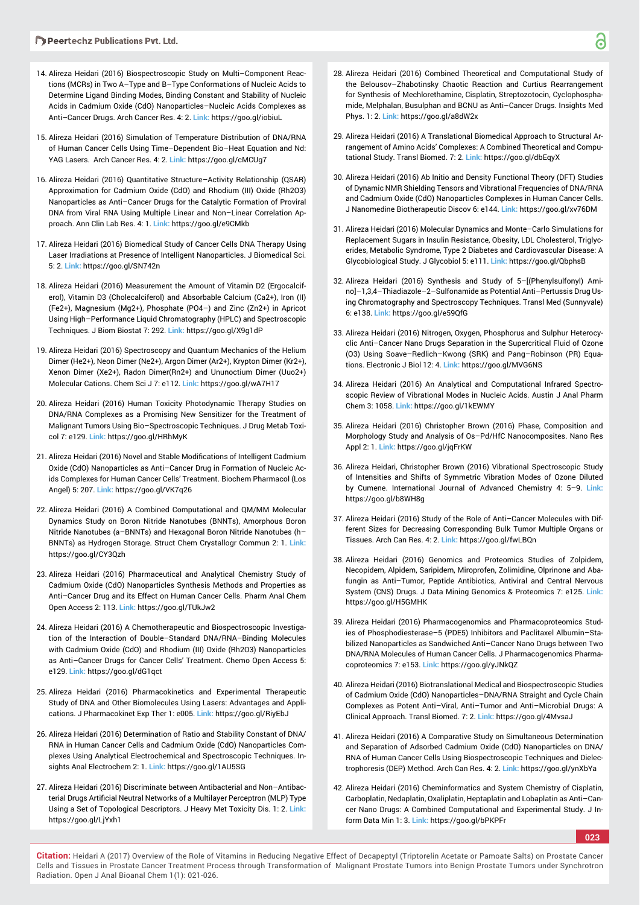- 14. Alireza Heidari (2016) Biospectroscopic Study on Multi–Component Reactions (MCRs) in Two A–Type and B–Type Conformations of Nucleic Acids to Determine Ligand Binding Modes, Binding Constant and Stability of Nucleic Acids in Cadmium Oxide (CdO) Nanoparticles–Nucleic Acids Complexes as Anti–Cancer Drugs. Arch Cancer Res. 4: 2. **Link:** https://goo.gl/iobiuL
- 15. Alireza Heidari (2016) Simulation of Temperature Distribution of DNA/RNA of Human Cancer Cells Using Time–Dependent Bio–Heat Equation and Nd: YAG Lasers. Arch Cancer Res. 4: 2. **Link:** https://goo.gl/cMCUg7
- 16. Alireza Heidari (2016) Quantitative Structure–Activity Relationship (QSAR) Approximation for Cadmium Oxide (CdO) and Rhodium (III) Oxide (Rh2O3) Nanoparticles as Anti–Cancer Drugs for the Catalytic Formation of Proviral DNA from Viral RNA Using Multiple Linear and Non–Linear Correlation Approach. Ann Clin Lab Res. 4: 1. **Link:** https://goo.gl/e9CMkb
- 17. Alireza Heidari (2016) Biomedical Study of Cancer Cells DNA Therapy Using Laser Irradiations at Presence of Intelligent Nanoparticles. J Biomedical Sci. 5: 2. **Link:** https://goo.gl/SN742n
- 18. Alireza Heidari (2016) Measurement the Amount of Vitamin D2 (Ergocalciferol), Vitamin D3 (Cholecalciferol) and Absorbable Calcium (Ca2+), Iron (II) (Fe2+), Magnesium (Mg2+), Phosphate (PO4–) and Zinc (Zn2+) in Apricot Using High–Performance Liquid Chromatography (HPLC) and Spectroscopic Techniques. J Biom Biostat 7: 292. **Link:** https://goo.gl/X9g1dP
- 19. Alireza Heidari (2016) Spectroscopy and Quantum Mechanics of the Helium Dimer (He2+), Neon Dimer (Ne2+), Argon Dimer (Ar2+), Krypton Dimer (Kr2+), Xenon Dimer (Xe2+), Radon Dimer(Rn2+) and Ununoctium Dimer (Uuo2+) Molecular Cations. Chem Sci J 7: e112. **Link:** https://goo.gl/wA7H17
- 20. Alireza Heidari (2016) Human Toxicity Photodynamic Therapy Studies on DNA/RNA Complexes as a Promising New Sensitizer for the Treatment of Malignant Tumors Using Bio–Spectroscopic Techniques. J Drug Metab Toxicol 7: e129. **Link:** https://goo.gl/HRhMyK
- 21. Alireza Heidari (2016) Novel and Stable Modifications of Intelligent Cadmium Oxide (CdO) Nanoparticles as Anti–Cancer Drug in Formation of Nucleic Acids Complexes for Human Cancer Cells' Treatment. Biochem Pharmacol (Los Angel) 5: 207. **Link:** https://goo.gl/VK7q26
- 22. Alireza Heidari (2016) A Combined Computational and QM/MM Molecular Dynamics Study on Boron Nitride Nanotubes (BNNTs), Amorphous Boron Nitride Nanotubes (a–BNNTs) and Hexagonal Boron Nitride Nanotubes (h– BNNTs) as Hydrogen Storage. Struct Chem Crystallogr Commun 2: 1. **Link:** https://goo.gl/CY3Qzh
- 23. Alireza Heidari (2016) Pharmaceutical and Analytical Chemistry Study of Cadmium Oxide (CdO) Nanoparticles Synthesis Methods and Properties as Anti–Cancer Drug and its Effect on Human Cancer Cells. Pharm Anal Chem Open Access 2: 113. **Link:** https://goo.gl/TUkJw2
- 24. Alireza Heidari (2016) A Chemotherapeutic and Biospectroscopic Investigation of the Interaction of Double–Standard DNA/RNA–Binding Molecules with Cadmium Oxide (CdO) and Rhodium (III) Oxide (Rh2O3) Nanoparticles as Anti–Cancer Drugs for Cancer Cells' Treatment. Chemo Open Access 5: e129. **Link:** https://goo.gl/dG1qct
- 25. Alireza Heidari (2016) Pharmacokinetics and Experimental Therapeutic Study of DNA and Other Biomolecules Using Lasers: Advantages and Applications. J Pharmacokinet Exp Ther 1: e005. **Link:** https://goo.gl/RiyEbJ
- 26. Alireza Heidari (2016) Determination of Ratio and Stability Constant of DNA/ RNA in Human Cancer Cells and Cadmium Oxide (CdO) Nanoparticles Complexes Using Analytical Electrochemical and Spectroscopic Techniques. Insights Anal Electrochem 2: 1. **Link:** https://goo.gl/1AU5SG
- 27. Alireza Heidari (2016) Discriminate between Antibacterial and Non–Antibacterial Drugs Artificial Neutral Networks of a Multilayer Perceptron (MLP) Type Using a Set of Topological Descriptors. J Heavy Met Toxicity Dis. 1: 2. **Link:** https://goo.gl/LjYxh1
- 28. Alireza Heidari (2016) Combined Theoretical and Computational Study of the Belousov–Zhabotinsky Chaotic Reaction and Curtius Rearrangement for Synthesis of Mechlorethamine, Cisplatin, Streptozotocin, Cyclophosphamide, Melphalan, Busulphan and BCNU as Anti–Cancer Drugs. Insights Med Phys. 1: 2. **Link:** https://goo.gl/a8dW2x
- 29. Alireza Heidari (2016) A Translational Biomedical Approach to Structural Arrangement of Amino Acids' Complexes: A Combined Theoretical and Computational Study. Transl Biomed. 7: 2. **Link:** https://goo.gl/dbEqyX
- 30. Alireza Heidari (2016) Ab Initio and Density Functional Theory (DFT) Studies of Dynamic NMR Shielding Tensors and Vibrational Frequencies of DNA/RNA and Cadmium Oxide (CdO) Nanoparticles Complexes in Human Cancer Cells. J Nanomedine Biotherapeutic Discov 6: e144. **Link:** https://goo.gl/xv76DM
- 31. Alireza Heidari (2016) Molecular Dynamics and Monte–Carlo Simulations for Replacement Sugars in Insulin Resistance, Obesity, LDL Cholesterol, Triglycerides, Metabolic Syndrome, Type 2 Diabetes and Cardiovascular Disease: A Glycobiological Study. J Glycobiol 5: e111. **Link:** https://goo.gl/QbphsB
- 32. Alireza Heidari (2016) Synthesis and Study of 5–[(Phenylsulfonyl) Amino]–1,3,4–Thiadiazole–2–Sulfonamide as Potential Anti–Pertussis Drug Using Chromatography and Spectroscopy Techniques. Transl Med (Sunnyvale) 6: e138. **Link:** https://goo.gl/e59QfG
- 33. Alireza Heidari (2016) Nitrogen, Oxygen, Phosphorus and Sulphur Heterocyclic Anti–Cancer Nano Drugs Separation in the Supercritical Fluid of Ozone (O3) Using Soave–Redlich–Kwong (SRK) and Pang–Robinson (PR) Equations. Electronic J Biol 12: 4. **Link:** https://goo.gl/MVG6NS
- 34. Alireza Heidari (2016) An Analytical and Computational Infrared Spectroscopic Review of Vibrational Modes in Nucleic Acids. Austin J Anal Pharm Chem 3: 1058. **Link:** https://goo.gl/1kEWMY
- 35. Alireza Heidari (2016) Christopher Brown (2016) Phase, Composition and Morphology Study and Analysis of Os–Pd/HfC Nanocomposites. Nano Res Appl 2: 1. **Link:** https://goo.gl/jqFrKW
- 36. Alireza Heidari, Christopher Brown (2016) Vibrational Spectroscopic Study of Intensities and Shifts of Symmetric Vibration Modes of Ozone Diluted by Cumene. International Journal of Advanced Chemistry 4: 5–9. **Link:** https://goo.gl/b8WH8g
- 37. Alireza Heidari (2016) Study of the Role of Anti–Cancer Molecules with Different Sizes for Decreasing Corresponding Bulk Tumor Multiple Organs or Tissues. Arch Can Res. 4: 2. **Link:** https://goo.gl/fwLBQn
- 38. Alireza Heidari (2016) Genomics and Proteomics Studies of Zolpidem, Necopidem, Alpidem, Saripidem, Miroprofen, Zolimidine, Olprinone and Abafungin as Anti–Tumor, Peptide Antibiotics, Antiviral and Central Nervous System (CNS) Drugs. J Data Mining Genomics & Proteomics 7: e125. **Link:** https://goo.gl/H5GMHK
- 39. Alireza Heidari (2016) Pharmacogenomics and Pharmacoproteomics Studies of Phosphodiesterase–5 (PDE5) Inhibitors and Paclitaxel Albumin–Stabilized Nanoparticles as Sandwiched Anti–Cancer Nano Drugs between Two DNA/RNA Molecules of Human Cancer Cells. J Pharmacogenomics Pharmacoproteomics 7: e153. **Link:** https://goo.gl/yJNkQZ
- 40. Alireza Heidari (2016) Biotranslational Medical and Biospectroscopic Studies of Cadmium Oxide (CdO) Nanoparticles–DNA/RNA Straight and Cycle Chain Complexes as Potent Anti–Viral, Anti–Tumor and Anti–Microbial Drugs: A Clinical Approach. Transl Biomed. 7: 2. **Link:** https://goo.gl/4MvsaJ
- 41. Alireza Heidari (2016) A Comparative Study on Simultaneous Determination and Separation of Adsorbed Cadmium Oxide (CdO) Nanoparticles on DNA/ RNA of Human Cancer Cells Using Biospectroscopic Techniques and Dielectrophoresis (DEP) Method. Arch Can Res. 4: 2. **Link:** https://goo.gl/ynXbYa
- 42. Alireza Heidari (2016) Cheminformatics and System Chemistry of Cisplatin, Carboplatin, Nedaplatin, Oxaliplatin, Heptaplatin and Lobaplatin as Anti–Cancer Nano Drugs: A Combined Computational and Experimental Study. J Inform Data Min 1: 3. **Link:** https://goo.gl/bPKPFr

**023**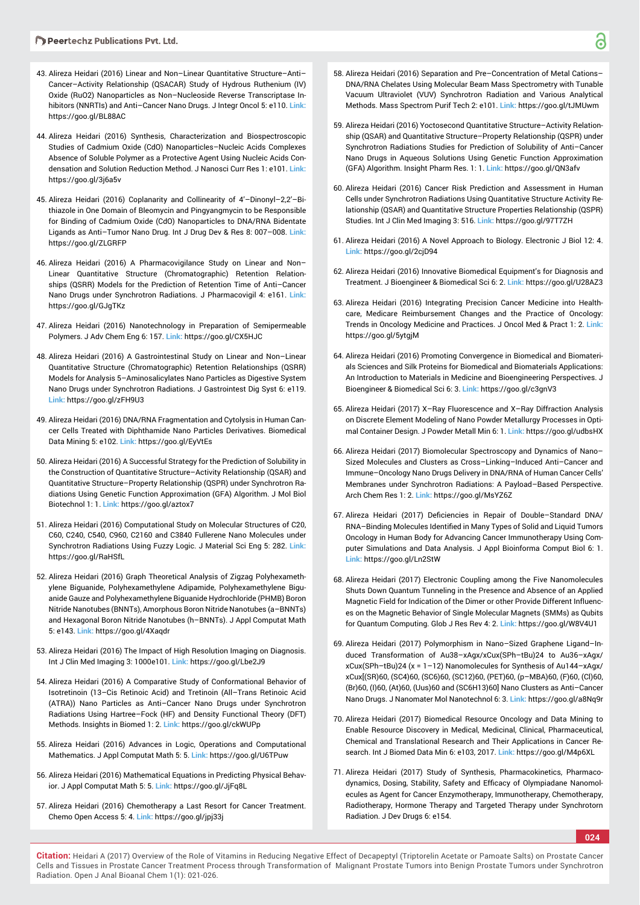- 43. Alireza Heidari (2016) Linear and Non–Linear Quantitative Structure–Anti– Cancer–Activity Relationship (QSACAR) Study of Hydrous Ruthenium (IV) Oxide (RuO2) Nanoparticles as Non–Nucleoside Reverse Transcriptase Inhibitors (NNRTIs) and Anti–Cancer Nano Drugs. J Integr Oncol 5: e110. **Link:** https://goo.gl/BL88AC
- 44. Alireza Heidari (2016) Synthesis, Characterization and Biospectroscopic Studies of Cadmium Oxide (CdO) Nanoparticles–Nucleic Acids Complexes Absence of Soluble Polymer as a Protective Agent Using Nucleic Acids Condensation and Solution Reduction Method. J Nanosci Curr Res 1: e101. **Link:** https://goo.gl/3j6a5v
- 45. Alireza Heidari (2016) Coplanarity and Collinearity of 4'–Dinonyl–2,2'–Bithiazole in One Domain of Bleomycin and Pingyangmycin to be Responsible for Binding of Cadmium Oxide (CdO) Nanoparticles to DNA/RNA Bidentate Ligands as Anti–Tumor Nano Drug. Int J Drug Dev & Res 8: 007–008. **Link:** https://goo.gl/ZLGRFP
- 46. Alireza Heidari (2016) A Pharmacovigilance Study on Linear and Non– Linear Quantitative Structure (Chromatographic) Retention Relationships (QSRR) Models for the Prediction of Retention Time of Anti–Cancer Nano Drugs under Synchrotron Radiations. J Pharmacovigil 4: e161. **Link:** https://goo.gl/GJgTKz
- 47. Alireza Heidari (2016) Nanotechnology in Preparation of Semipermeable Polymers. J Adv Chem Eng 6: 157. **Link:** https://goo.gl/CX5HJC
- 48. Alireza Heidari (2016) A Gastrointestinal Study on Linear and Non–Linear Quantitative Structure (Chromatographic) Retention Relationships (QSRR) Models for Analysis 5–Aminosalicylates Nano Particles as Digestive System Nano Drugs under Synchrotron Radiations. J Gastrointest Dig Syst 6: e119. **Link:** https://goo.gl/zFH9U3
- 49. Alireza Heidari (2016) DNA/RNA Fragmentation and Cytolysis in Human Cancer Cells Treated with Diphthamide Nano Particles Derivatives. Biomedical Data Mining 5: e102. **Link:** https://goo.gl/EyVtEs
- 50. Alireza Heidari (2016) A Successful Strategy for the Prediction of Solubility in the Construction of Quantitative Structure–Activity Relationship (QSAR) and Quantitative Structure–Property Relationship (QSPR) under Synchrotron Radiations Using Genetic Function Approximation (GFA) Algorithm. J Mol Biol Biotechnol 1: 1. **Link:** https://goo.gl/aztox7
- 51. Alireza Heidari (2016) Computational Study on Molecular Structures of C20, C60, C240, C540, C960, C2160 and C3840 Fullerene Nano Molecules under Synchrotron Radiations Using Fuzzy Logic. J Material Sci Eng 5: 282. **Link:** https://goo.gl/RaHSfL
- 52. Alireza Heidari (2016) Graph Theoretical Analysis of Zigzag Polyhexamethylene Biguanide, Polyhexamethylene Adipamide, Polyhexamethylene Biguanide Gauze and Polyhexamethylene Biguanide Hydrochloride (PHMB) Boron Nitride Nanotubes (BNNTs), Amorphous Boron Nitride Nanotubes (a–BNNTs) and Hexagonal Boron Nitride Nanotubes (h–BNNTs). J Appl Computat Math 5: e143. **Link:** https://goo.gl/4Xaqdr
- 53. Alireza Heidari (2016) The Impact of High Resolution Imaging on Diagnosis. Int J Clin Med Imaging 3: 1000e101. **Link:** https://goo.gl/Lbe2J9
- 54. Alireza Heidari (2016) A Comparative Study of Conformational Behavior of Isotretinoin (13–Cis Retinoic Acid) and Tretinoin (All–Trans Retinoic Acid (ATRA)) Nano Particles as Anti–Cancer Nano Drugs under Synchrotron Radiations Using Hartree–Fock (HF) and Density Functional Theory (DFT) Methods. Insights in Biomed 1: 2. **Link:** https://goo.gl/ckWUPp
- 55. Alireza Heidari (2016) Advances in Logic, Operations and Computational Mathematics. J Appl Computat Math 5: 5. **Link:** https://goo.gl/U6TPuw
- 56. Alireza Heidari (2016) Mathematical Equations in Predicting Physical Behavior. J Appl Computat Math 5: 5. **Link:** https://goo.gl/JjFq8L
- 57. Alireza Heidari (2016) Chemotherapy a Last Resort for Cancer Treatment. Chemo Open Access 5: 4. **Link:** https://goo.gl/jpj33j
- 58. Alireza Heidari (2016) Separation and Pre–Concentration of Metal Cations– DNA/RNA Chelates Using Molecular Beam Mass Spectrometry with Tunable Vacuum Ultraviolet (VUV) Synchrotron Radiation and Various Analytical Methods. Mass Spectrom Purif Tech 2: e101. **Link:** https://goo.gl/tJMUwm
- 59. Alireza Heidari (2016) Yoctosecond Quantitative Structure–Activity Relationship (QSAR) and Quantitative Structure–Property Relationship (QSPR) under Synchrotron Radiations Studies for Prediction of Solubility of Anti–Cancer Nano Drugs in Aqueous Solutions Using Genetic Function Approximation (GFA) Algorithm. Insight Pharm Res. 1: 1. **Link:** https://goo.gl/QN3afv
- 60. Alireza Heidari (2016) Cancer Risk Prediction and Assessment in Human Cells under Synchrotron Radiations Using Quantitative Structure Activity Relationship (QSAR) and Quantitative Structure Properties Relationship (QSPR) Studies. Int J Clin Med Imaging 3: 516. **Link:** https://goo.gl/97T7ZH
- 61. Alireza Heidari (2016) A Novel Approach to Biology. Electronic J Biol 12: 4. **Link:** https://goo.gl/2cjD94
- 62. Alireza Heidari (2016) Innovative Biomedical Equipment's for Diagnosis and Treatment. J Bioengineer & Biomedical Sci 6: 2. **Link:** https://goo.gl/U28AZ3
- 63. Alireza Heidari (2016) Integrating Precision Cancer Medicine into Healthcare, Medicare Reimbursement Changes and the Practice of Oncology: Trends in Oncology Medicine and Practices. J Oncol Med & Pract 1: 2. **Link:** https://goo.gl/5ytgjM
- 64. Alireza Heidari (2016) Promoting Convergence in Biomedical and Biomaterials Sciences and Silk Proteins for Biomedical and Biomaterials Applications: An Introduction to Materials in Medicine and Bioengineering Perspectives. J Bioengineer & Biomedical Sci 6: 3. **Link:** https://goo.gl/c3gnV3
- 65. Alireza Heidari (2017) X–Ray Fluorescence and X–Ray Diffraction Analysis on Discrete Element Modeling of Nano Powder Metallurgy Processes in Optimal Container Design. J Powder Metall Min 6: 1. **Link:** https://goo.gl/udbsHX
- 66. Alireza Heidari (2017) Biomolecular Spectroscopy and Dynamics of Nano– Sized Molecules and Clusters as Cross–Linking–Induced Anti–Cancer and Immune–Oncology Nano Drugs Delivery in DNA/RNA of Human Cancer Cells' Membranes under Synchrotron Radiations: A Payload–Based Perspective. Arch Chem Res 1: 2. **Link:** https://goo.gl/MsYZ6Z
- 67. Alireza Heidari (2017) Deficiencies in Repair of Double-Standard DNA/ RNA-Binding Molecules Identified in Many Types of Solid and Liquid Tumors Oncology in Human Body for Advancing Cancer Immunotherapy Using Computer Simulations and Data Analysis. J Appl Bioinforma Comput Biol 6: 1. **Link:** https://goo.gl/Ln2StW
- 68. Alireza Heidari (2017) Electronic Coupling among the Five Nanomolecules Shuts Down Quantum Tunneling in the Presence and Absence of an Applied Magnetic Field for Indication of the Dimer or other Provide Different Influences on the Magnetic Behavior of Single Molecular Magnets (SMMs) as Qubits for Quantum Computing. Glob J Res Rev 4: 2. **Link:** https://goo.gl/W8V4U1
- 69. Alireza Heidari (2017) Polymorphism in Nano–Sized Graphene Ligand–Induced Transformation of Au38–xAgx/xCux(SPh–tBu)24 to Au36–xAgx/ xCux(SPh–tBu)24 (x = 1–12) Nanomolecules for Synthesis of Au144–xAgx/ xCux[(SR)60, (SC4)60, (SC6)60, (SC12)60, (PET)60, (p–MBA)60, (F)60, (Cl)60, (Br)60, (I)60, (At)60, (Uus)60 and (SC6H13)60] Nano Clusters as Anti–Cancer Nano Drugs. J Nanomater Mol Nanotechnol 6: 3. **Link:** https://goo.gl/a8Nq9r
- 70. Alireza Heidari (2017) Biomedical Resource Oncology and Data Mining to Enable Resource Discovery in Medical, Medicinal, Clinical, Pharmaceutical, Chemical and Translational Research and Their Applications in Cancer Research. Int J Biomed Data Min 6: e103, 2017. **Link:** https://goo.gl/M4p6XL
- 71. Alireza Heidari (2017) Study of Synthesis, Pharmacokinetics, Pharmacodynamics, Dosing, Stability, Safety and Efficacy of Olympiadane Nanomolecules as Agent for Cancer Enzymotherapy, Immunotherapy, Chemotherapy, Radiotherapy, Hormone Therapy and Targeted Therapy under Synchrotorn Radiation. J Dev Drugs 6: e154.

**024**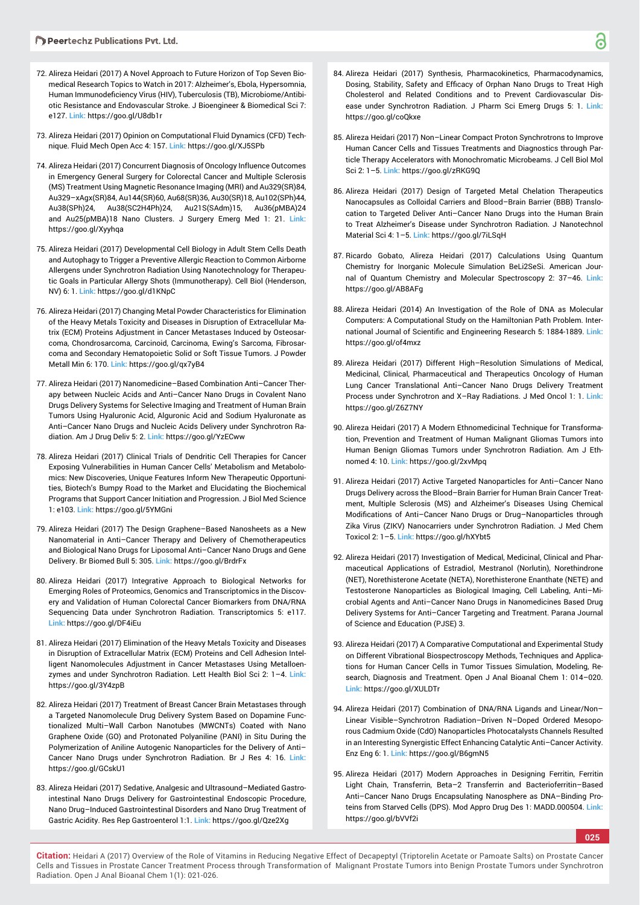- 72. Alireza Heidari (2017) A Novel Approach to Future Horizon of Top Seven Biomedical Research Topics to Watch in 2017: Alzheimer's, Ebola, Hypersomnia, Human Immunodeficiency Virus (HIV), Tuberculosis (TB), Microbiome/Antibiotic Resistance and Endovascular Stroke. J Bioengineer & Biomedical Sci 7: e127. **Link:** https://goo.gl/U8db1r
- 73. Alireza Heidari (2017) Opinion on Computational Fluid Dynamics (CFD) Technique. Fluid Mech Open Acc 4: 157. **Link:** https://goo.gl/XJ5SPb
- 74. Alireza Heidari (2017) Concurrent Diagnosis of Oncology Influence Outcomes in Emergency General Surgery for Colorectal Cancer and Multiple Sclerosis (MS) Treatment Using Magnetic Resonance Imaging (MRI) and Au329(SR)84, Au329–xAgx(SR)84, Au144(SR)60, Au68(SR)36, Au30(SR)18, Au102(SPh)44, Au38(SPh)24, Au38(SC2H4Ph)24, Au21S(SAdm)15, Au36(pMBA)24 and Au25(pMBA)18 Nano Clusters. J Surgery Emerg Med 1: 21. **Link:** https://goo.gl/Xyyhqa
- 75. Alireza Heidari (2017) Developmental Cell Biology in Adult Stem Cells Death and Autophagy to Trigger a Preventive Allergic Reaction to Common Airborne Allergens under Synchrotron Radiation Using Nanotechnology for Therapeutic Goals in Particular Allergy Shots (Immunotherapy). Cell Biol (Henderson, NV) 6: 1. **Link:** https://goo.gl/d1KNpC
- 76. Alireza Heidari (2017) Changing Metal Powder Characteristics for Elimination of the Heavy Metals Toxicity and Diseases in Disruption of Extracellular Matrix (ECM) Proteins Adjustment in Cancer Metastases Induced by Osteosarcoma, Chondrosarcoma, Carcinoid, Carcinoma, Ewing's Sarcoma, Fibrosarcoma and Secondary Hematopoietic Solid or Soft Tissue Tumors. J Powder Metall Min 6: 170. **Link:** https://goo.gl/qx7yB4
- 77. Alireza Heidari (2017) Nanomedicine–Based Combination Anti–Cancer Therapy between Nucleic Acids and Anti–Cancer Nano Drugs in Covalent Nano Drugs Delivery Systems for Selective Imaging and Treatment of Human Brain Tumors Using Hyaluronic Acid, Alguronic Acid and Sodium Hyaluronate as Anti–Cancer Nano Drugs and Nucleic Acids Delivery under Synchrotron Radiation. Am J Drug Deliv 5: 2. **Link:** https://goo.gl/YzECww
- 78. Alireza Heidari (2017) Clinical Trials of Dendritic Cell Therapies for Cancer Exposing Vulnerabilities in Human Cancer Cells' Metabolism and Metabolomics: New Discoveries, Unique Features Inform New Therapeutic Opportunities, Biotech's Bumpy Road to the Market and Elucidating the Biochemical Programs that Support Cancer Initiation and Progression. J Biol Med Science 1: e103. **Link:** https://goo.gl/5YMGni
- 79. Alireza Heidari (2017) The Design Graphene–Based Nanosheets as a New Nanomaterial in Anti–Cancer Therapy and Delivery of Chemotherapeutics and Biological Nano Drugs for Liposomal Anti–Cancer Nano Drugs and Gene Delivery. Br Biomed Bull 5: 305. **Link:** https://goo.gl/BrdrFx
- 80. Alireza Heidari (2017) Integrative Approach to Biological Networks for Emerging Roles of Proteomics, Genomics and Transcriptomics in the Discovery and Validation of Human Colorectal Cancer Biomarkers from DNA/RNA Sequencing Data under Synchrotron Radiation. Transcriptomics 5: e117. **Link:** https://goo.gl/DF4iEu
- 81. Alireza Heidari (2017) Elimination of the Heavy Metals Toxicity and Diseases in Disruption of Extracellular Matrix (ECM) Proteins and Cell Adhesion Intelligent Nanomolecules Adjustment in Cancer Metastases Using Metalloenzymes and under Synchrotron Radiation. Lett Health Biol Sci 2: 1–4. **Link:** https://goo.gl/3Y4zpB
- 82. Alireza Heidari (2017) Treatment of Breast Cancer Brain Metastases through a Targeted Nanomolecule Drug Delivery System Based on Dopamine Functionalized Multi–Wall Carbon Nanotubes (MWCNTs) Coated with Nano Graphene Oxide (GO) and Protonated Polyaniline (PANI) in Situ During the Polymerization of Aniline Autogenic Nanoparticles for the Delivery of Anti– Cancer Nano Drugs under Synchrotron Radiation. Br J Res 4: 16. **Link:** https://goo.gl/GCskU1
- 83. Alireza Heidari (2017) Sedative, Analgesic and Ultrasound–Mediated Gastrointestinal Nano Drugs Delivery for Gastrointestinal Endoscopic Procedure, Nano Drug–Induced Gastrointestinal Disorders and Nano Drug Treatment of Gastric Acidity. Res Rep Gastroenterol 1:1. **Link:** https://goo.gl/Qze2Xg
- 84. Alireza Heidari (2017) Synthesis, Pharmacokinetics, Pharmacodynamics, Dosing, Stability, Safety and Efficacy of Orphan Nano Drugs to Treat High Cholesterol and Related Conditions and to Prevent Cardiovascular Disease under Synchrotron Radiation. J Pharm Sci Emerg Drugs 5: 1. **Link:** https://goo.gl/coQkxe
- 85. Alireza Heidari (2017) Non–Linear Compact Proton Synchrotrons to Improve Human Cancer Cells and Tissues Treatments and Diagnostics through Particle Therapy Accelerators with Monochromatic Microbeams. J Cell Biol Mol Sci 2: 1–5. **Link:** https://goo.gl/zRKG9Q
- 86. Alireza Heidari (2017) Design of Targeted Metal Chelation Therapeutics Nanocapsules as Colloidal Carriers and Blood–Brain Barrier (BBB) Translocation to Targeted Deliver Anti–Cancer Nano Drugs into the Human Brain to Treat Alzheimer's Disease under Synchrotron Radiation. J Nanotechnol Material Sci 4: 1–5. **Link:** https://goo.gl/7iLSqH
- 87. Ricardo Gobato, Alireza Heidari (2017) Calculations Using Quantum Chemistry for Inorganic Molecule Simulation BeLi2SeSi. American Journal of Quantum Chemistry and Molecular Spectroscopy 2: 37–46. **Link:** https://goo.gl/AB8AFg
- 88. Alireza Heidari (2014) An Investigation of the Role of DNA as Molecular Computers: A Computational Study on the Hamiltonian Path Problem. International Journal of Scientific and Engineering Research 5: 1884-1889. Link: https://goo.gl/of4mxz
- 89. Alireza Heidari (2017) Different High–Resolution Simulations of Medical, Medicinal, Clinical, Pharmaceutical and Therapeutics Oncology of Human Lung Cancer Translational Anti–Cancer Nano Drugs Delivery Treatment Process under Synchrotron and X–Ray Radiations. J Med Oncol 1: 1. **Link:** https://goo.gl/Z6Z7NY
- 90. Alireza Heidari (2017) A Modern Ethnomedicinal Technique for Transformation, Prevention and Treatment of Human Malignant Gliomas Tumors into Human Benign Gliomas Tumors under Synchrotron Radiation. Am J Ethnomed 4: 10. **Link:** https://goo.gl/2xvMpq
- 91. Alireza Heidari (2017) Active Targeted Nanoparticles for Anti–Cancer Nano Drugs Delivery across the Blood–Brain Barrier for Human Brain Cancer Treatment, Multiple Sclerosis (MS) and Alzheimer's Diseases Using Chemical Modifications of Anti-Cancer Nano Drugs or Drug-Nanoparticles through Zika Virus (ZIKV) Nanocarriers under Synchrotron Radiation. J Med Chem Toxicol 2: 1–5. **Link:** https://goo.gl/hXYbt5
- 92. Alireza Heidari (2017) Investigation of Medical, Medicinal, Clinical and Pharmaceutical Applications of Estradiol, Mestranol (Norlutin), Norethindrone (NET), Norethisterone Acetate (NETA), Norethisterone Enanthate (NETE) and Testosterone Nanoparticles as Biological Imaging, Cell Labeling, Anti–Microbial Agents and Anti–Cancer Nano Drugs in Nanomedicines Based Drug Delivery Systems for Anti–Cancer Targeting and Treatment. Parana Journal of Science and Education (PJSE) 3.
- 93. Alireza Heidari (2017) A Comparative Computational and Experimental Study on Different Vibrational Biospectroscopy Methods, Techniques and Applications for Human Cancer Cells in Tumor Tissues Simulation, Modeling, Research, Diagnosis and Treatment. Open J Anal Bioanal Chem 1: 014–020. **Link:** https://goo.gl/XULDTr
- 94. Alireza Heidari (2017) Combination of DNA/RNA Ligands and Linear/Non– Linear Visible–Synchrotron Radiation–Driven N–Doped Ordered Mesoporous Cadmium Oxide (CdO) Nanoparticles Photocatalysts Channels Resulted in an Interesting Synergistic Effect Enhancing Catalytic Anti–Cancer Activity. Enz Eng 6: 1. **Link:** https://goo.gl/B6gmN5
- 95. Alireza Heidari (2017) Modern Approaches in Designing Ferritin, Ferritin Light Chain, Transferrin, Beta–2 Transferrin and Bacterioferritin–Based Anti–Cancer Nano Drugs Encapsulating Nanosphere as DNA–Binding Proteins from Starved Cells (DPS). Mod Appro Drug Des 1: MADD.000504. **Link:** https://goo.gl/bVVf2i

**025**